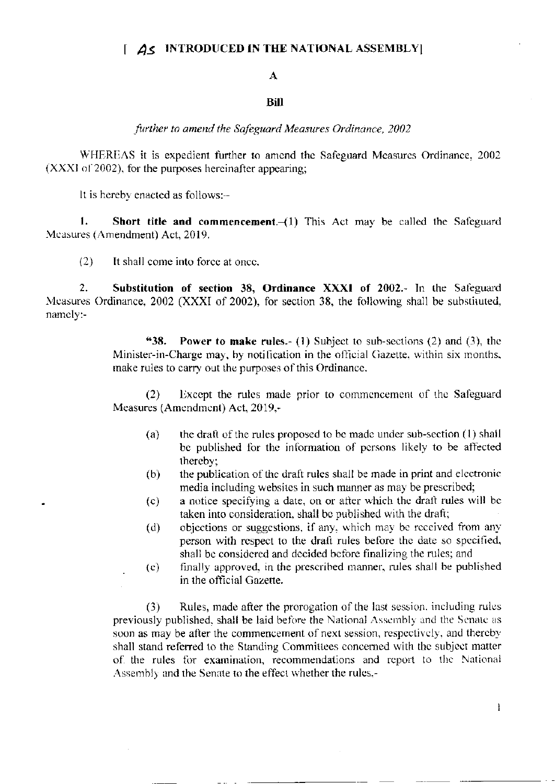## $\int$   $\Delta$  S INTRODUCED IN THE NATIONAL ASSEMBLY

## A

## **Bill**

further to amend the Safeguard Measures Ordinance, 2002

WHEREAS it is expedient further to amend the Safeguard Measures Ordinance, 2002 (XXXI of 2002), for the purposes hereinafter appearing;

It is hereby enacted as follows:-

Short title and commencement. (1) This Act may be called the Safeguard  $1.$ Measures (Amendment) Act, 2019.

 $(2)$ It shall come into force at once.

 $2.$ Substitution of section 38, Ordinance XXXI of 2002.- In the Safeguard Measures Ordinance, 2002 (XXXI of 2002), for section 38, the following shall be substituted, namely:-

> "38. **Power to make rules.**- (1) Subject to sub-sections (2) and (3), the Minister-in-Charge may, by notification in the official Gazette, within six months, make rules to carry out the purposes of this Ordinance.

> Except the rules made prior to commencement of the Safeguard  $(2)$ Measures (Amendment) Act, 2019,-

- (a) the draft of the rules proposed to be made under sub-section (1) shall be published for the information of persons likely to be affected thereby;
- the publication of the draft rules shall be made in print and electronic  $(b)$ media including websites in such manner as may be prescribed;
- a notice specifying a date, on or after which the draft rules will be  $(c)$ taken into consideration, shall be published with the draft;
- objections or suggestions, if any, which may be received from any  $(d)$ person with respect to the draft rules before the date so specified, shall be considered and decided before finalizing the rules; and
- finally approved, in the prescribed manner, rules shall be published  $\left( c\right)$ in the official Gazette.

Rules, made after the prorogation of the last session, including rules  $(3)$ previously published, shall be laid before the National Assembly and the Senate as soon as may be after the commencement of next session, respectively, and thereby shall stand referred to the Standing Committees concerned with the subject matter of the rules for examination, recommendations and report to the National Assembly and the Senate to the effect whether the rules,-

 $\mathbf{1}$